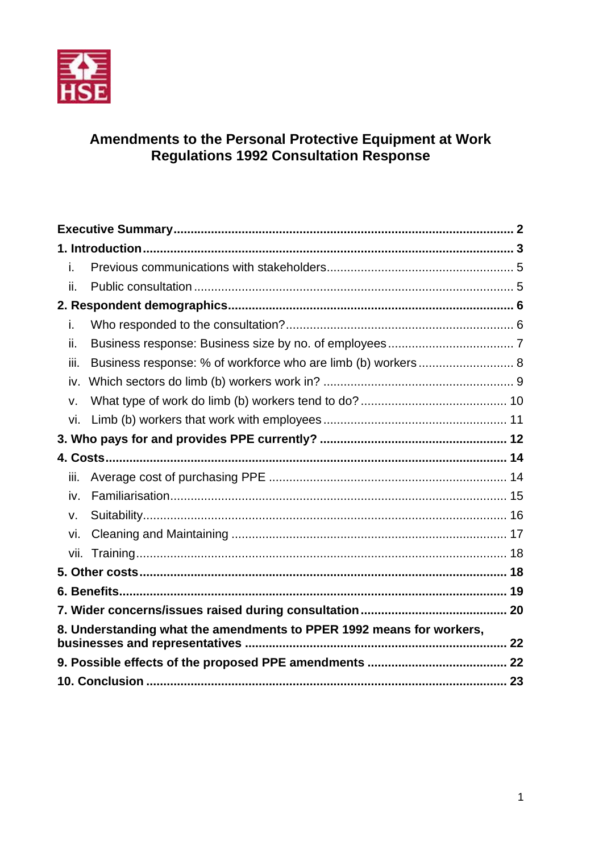

# Amendments to the Personal Protective Equipment at Work<br>Regulations 1992 Consultation Response

| i.                                                                   |                                                              |  |  |  |
|----------------------------------------------------------------------|--------------------------------------------------------------|--|--|--|
| ii.                                                                  |                                                              |  |  |  |
|                                                                      |                                                              |  |  |  |
| i.                                                                   |                                                              |  |  |  |
| ii.                                                                  |                                                              |  |  |  |
| iii.                                                                 | Business response: % of workforce who are limb (b) workers 8 |  |  |  |
| iv.                                                                  |                                                              |  |  |  |
| v.                                                                   |                                                              |  |  |  |
| vi.                                                                  |                                                              |  |  |  |
|                                                                      |                                                              |  |  |  |
|                                                                      |                                                              |  |  |  |
| iii.                                                                 |                                                              |  |  |  |
| iv.                                                                  |                                                              |  |  |  |
| v.                                                                   |                                                              |  |  |  |
| vi.                                                                  |                                                              |  |  |  |
|                                                                      |                                                              |  |  |  |
|                                                                      |                                                              |  |  |  |
|                                                                      |                                                              |  |  |  |
|                                                                      |                                                              |  |  |  |
| 8. Understanding what the amendments to PPER 1992 means for workers, |                                                              |  |  |  |
|                                                                      |                                                              |  |  |  |
|                                                                      |                                                              |  |  |  |
|                                                                      |                                                              |  |  |  |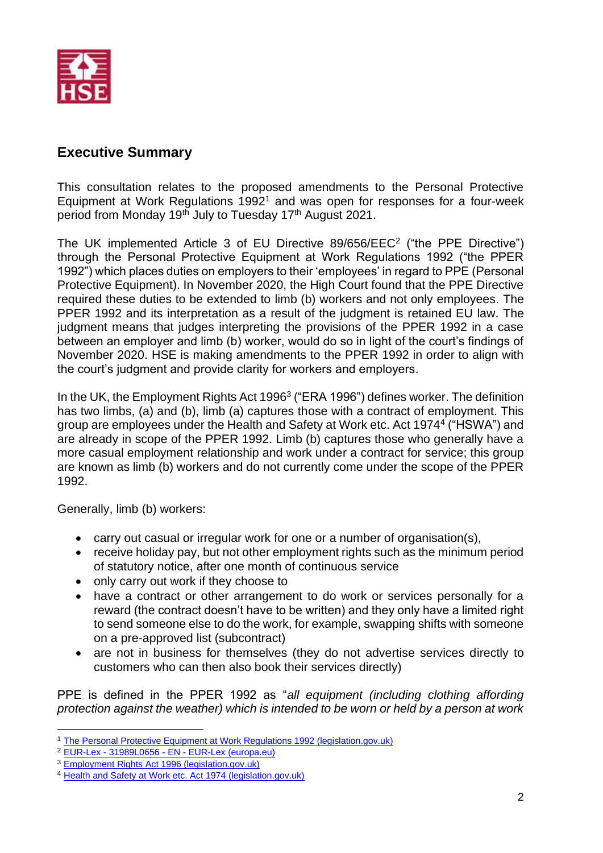

# <span id="page-1-0"></span>**Executive Summary**

This consultation relates to the proposed amendments to the Personal Protective Equipment at Work Regulations  $1992<sup>1</sup>$  and was open for responses for a four-week period from Monday 19<sup>th</sup> July to Tuesday 17<sup>th</sup> August 2021.

The UK implemented Article 3 of EU Directive 89/656/EEC<sup>2</sup> ("the PPE Directive") through the Personal Protective Equipment at Work Regulations 1992 ("the PPER 1992") which places duties on employers to their 'employees' in regard to PPE (Personal Protective Equipment). In November 2020, the High Court found that the PPE Directive required these duties to be extended to limb (b) workers and not only employees. The PPER 1992 and its interpretation as a result of the judgment is retained EU law. The judgment means that judges interpreting the provisions of the PPER 1992 in a case between an employer and limb (b) worker, would do so in light of the court's findings of November 2020. HSE is making amendments to the PPER 1992 in order to align with the court's judgment and provide clarity for workers and employers.

In the UK, the Employment Rights Act 1996<sup>3</sup> ("ERA 1996") defines worker. The definition has two limbs, (a) and (b), limb (a) captures those with a contract of employment. This group are employees under the Health and Safety at Work etc. Act 1974<sup>4</sup> ("HSWA") and are already in scope of the PPER 1992. Limb (b) captures those who generally have a more casual employment relationship and work under a contract for service; this group are known as limb (b) workers and do not currently come under the scope of the PPER 1992.

Generally, limb (b) workers:

- carry out casual or irregular work for one or a number of organisation(s),
- receive holiday pay, but not other employment rights such as the minimum period of statutory notice, after one month of continuous service
- only carry out work if they choose to
- have a contract or other arrangement to do work or services personally for a reward (the contract doesn't have to be written) and they only have a limited right to send someone else to do the work, for example, swapping shifts with someone on a pre-approved list (subcontract)
- are not in business for themselves (they do not advertise services directly to customers who can then also book their services directly)

PPE is defined in the PPER 1992 as "*all equipment (including clothing affording protection against the weather) which is intended to be worn or held by a person at work* 

<sup>&</sup>lt;sup>1</sup> [The Personal Protective Equipment at Work Regulations 1992 \(legislation.gov.uk\)](https://www.legislation.gov.uk/uksi/1992/2966/contents/made)

<sup>2</sup> EUR-Lex - 31989L0656 - EN - [EUR-Lex \(europa.eu\)](https://eur-lex.europa.eu/legal-content/EN/TXT/?uri=CELEX:31989L0656)

<sup>3</sup> [Employment Rights Act 1996 \(legislation.gov.uk\)](https://www.legislation.gov.uk/ukpga/1996/18/section/230)

<sup>4</sup> [Health and Safety at Work etc. Act 1974 \(legislation.gov.uk\)](https://www.legislation.gov.uk/ukpga/1974/37/contents)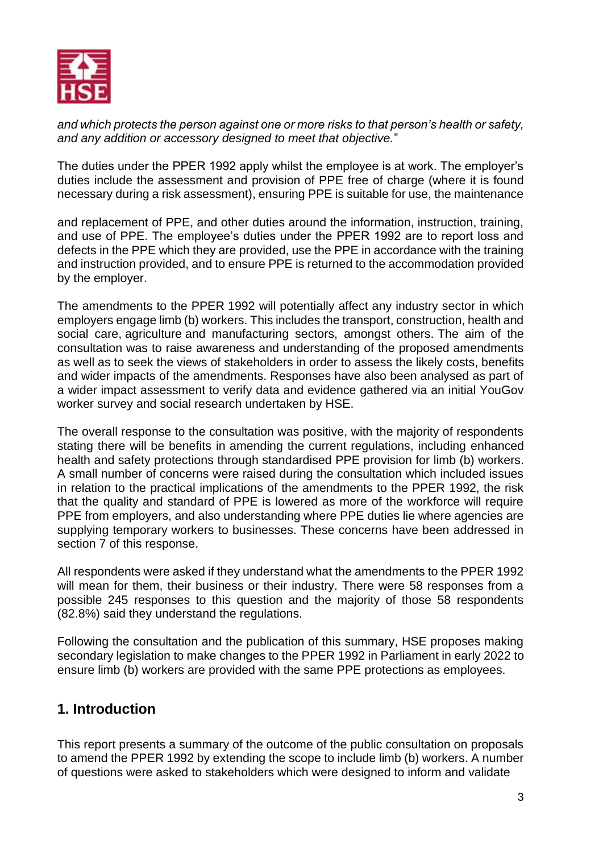

*and which protects the person against one or more risks to that person's health or safety, and any addition or accessory designed to meet that objective.*"

The duties under the PPER 1992 apply whilst the employee is at work. The employer's duties include the assessment and provision of PPE free of charge (where it is found necessary during a risk assessment), ensuring PPE is suitable for use, the maintenance

and replacement of PPE, and other duties around the information, instruction, training, and use of PPE. The employee's duties under the PPER 1992 are to report loss and defects in the PPE which they are provided, use the PPE in accordance with the training and instruction provided, and to ensure PPE is returned to the accommodation provided by the employer.

The amendments to the PPER 1992 will potentially affect any industry sector in which employers engage limb (b) workers. This includes the transport, construction, health and social care, agriculture and manufacturing sectors, amongst others. The aim of the consultation was to raise awareness and understanding of the proposed amendments as well as to seek the views of stakeholders in order to assess the likely costs, benefits and wider impacts of the amendments. Responses have also been analysed as part of a wider impact assessment to verify data and evidence gathered via an initial YouGov worker survey and social research undertaken by HSE.

The overall response to the consultation was positive, with the majority of respondents stating there will be benefits in amending the current regulations, including enhanced health and safety protections through standardised PPE provision for limb (b) workers. A small number of concerns were raised during the consultation which included issues in relation to the practical implications of the amendments to the PPER 1992, the risk that the quality and standard of PPE is lowered as more of the workforce will require PPE from employers, and also understanding where PPE duties lie where agencies are supplying temporary workers to businesses. These concerns have been addressed in section 7 of this response.

All respondents were asked if they understand what the amendments to the PPER 1992 will mean for them, their business or their industry. There were 58 responses from a possible 245 responses to this question and the majority of those 58 respondents (82.8%) said they understand the regulations.

Following the consultation and the publication of this summary, HSE proposes making secondary legislation to make changes to the PPER 1992 in Parliament in early 2022 to ensure limb (b) workers are provided with the same PPE protections as employees.

# <span id="page-2-0"></span>**1. Introduction**

This report presents a summary of the outcome of the public consultation on proposals to amend the PPER 1992 by extending the scope to include limb (b) workers. A number of questions were asked to stakeholders which were designed to inform and validate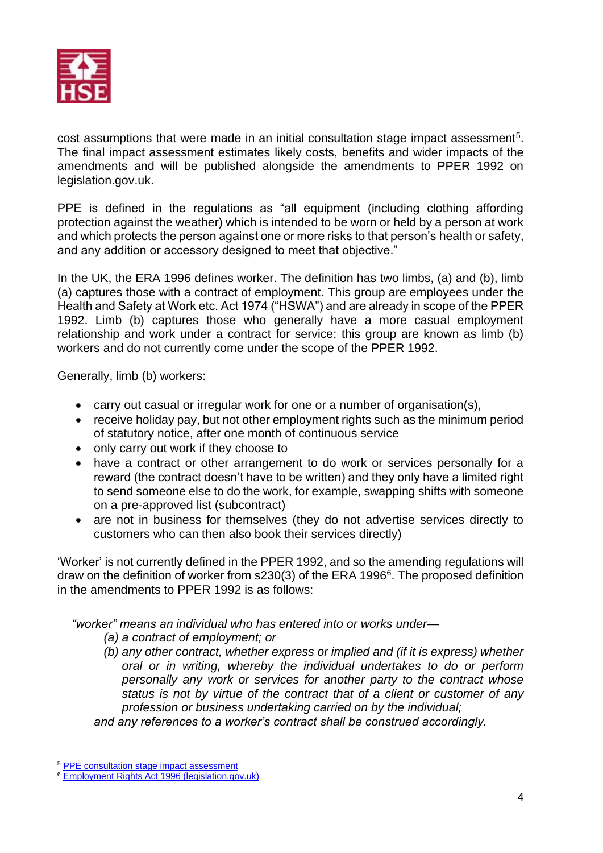

cost assumptions that were made in an initial consultation stage impact assessment<sup>5</sup>. The final impact assessment estimates likely costs, benefits and wider impacts of the amendments and will be published alongside the amendments to PPER 1992 on legislation.gov.uk.

PPE is defined in the regulations as "all equipment (including clothing affording protection against the weather) which is intended to be worn or held by a person at work and which protects the person against one or more risks to that person's health or safety, and any addition or accessory designed to meet that objective."

In the UK, the ERA 1996 defines worker. The definition has two limbs, (a) and (b), limb (a) captures those with a contract of employment. This group are employees under the Health and Safety at Work etc. Act 1974 ("HSWA") and are already in scope of the PPER 1992. Limb (b) captures those who generally have a more casual employment relationship and work under a contract for service; this group are known as limb (b) workers and do not currently come under the scope of the PPER 1992.

Generally, limb (b) workers:

- carry out casual or irregular work for one or a number of organisation(s),
- receive holiday pay, but not other employment rights such as the minimum period of statutory notice, after one month of continuous service
- only carry out work if they choose to
- have a contract or other arrangement to do work or services personally for a reward (the contract doesn't have to be written) and they only have a limited right to send someone else to do the work, for example, swapping shifts with someone on a pre-approved list (subcontract)
- are not in business for themselves (they do not advertise services directly to customers who can then also book their services directly)

'Worker' is not currently defined in the PPER 1992, and so the amending regulations will draw on the definition of worker from s230(3) of the ERA 1996<sup>6</sup>. The proposed definition in the amendments to PPER 1992 is as follows:

*"worker" means an individual who has entered into or works under—*

*(a) a contract of employment; or*

*(b) any other contract, whether express or implied and (if it is express) whether oral or in writing, whereby the individual undertakes to do or perform personally any work or services for another party to the contract whose status is not by virtue of the contract that of a client or customer of any profession or business undertaking carried on by the individual;* 

*and any references to a worker's contract shall be construed accordingly.*

<sup>5</sup> [PPE consultation stage impact assessment](https://consultations.hse.gov.uk/hse/cd289-amends-ppe-work-regs-1992/supporting_documents/pperconsultationimpactassessment.pdf)

<sup>6</sup> [Employment Rights Act 1996 \(legislation.gov.uk\)](https://www.legislation.gov.uk/ukpga/1996/18/section/230)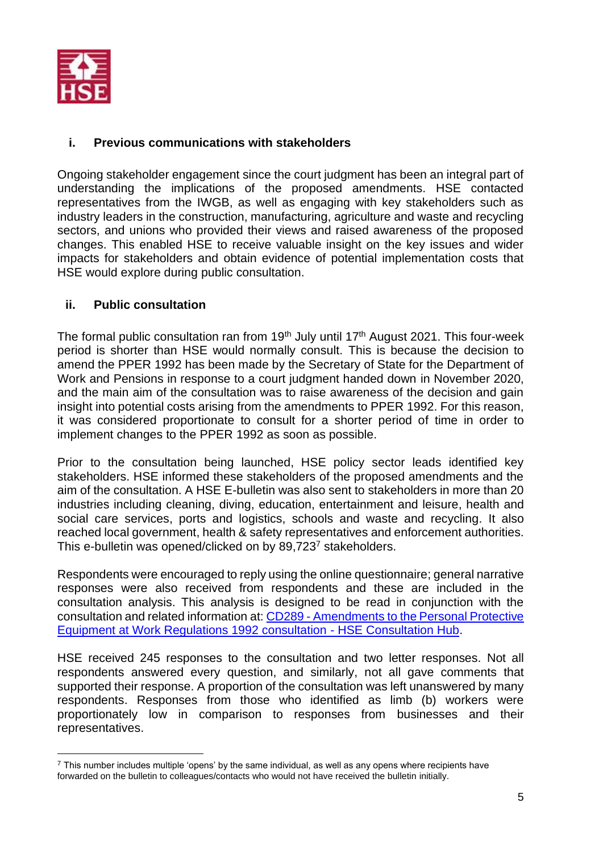

# <span id="page-4-0"></span>**i. Previous communications with stakeholders**

Ongoing stakeholder engagement since the court judgment has been an integral part of understanding the implications of the proposed amendments. HSE contacted representatives from the IWGB, as well as engaging with key stakeholders such as industry leaders in the construction, manufacturing, agriculture and waste and recycling sectors, and unions who provided their views and raised awareness of the proposed changes. This enabled HSE to receive valuable insight on the key issues and wider impacts for stakeholders and obtain evidence of potential implementation costs that HSE would explore during public consultation.

# <span id="page-4-1"></span>**ii. Public consultation**

The formal public consultation ran from 19<sup>th</sup> July until 17<sup>th</sup> August 2021. This four-week period is shorter than HSE would normally consult. This is because the decision to amend the PPER 1992 has been made by the Secretary of State for the Department of Work and Pensions in response to a court judgment handed down in November 2020, and the main aim of the consultation was to raise awareness of the decision and gain insight into potential costs arising from the amendments to PPER 1992. For this reason, it was considered proportionate to consult for a shorter period of time in order to implement changes to the PPER 1992 as soon as possible.

Prior to the consultation being launched, HSE policy sector leads identified key stakeholders. HSE informed these stakeholders of the proposed amendments and the aim of the consultation. A HSE E-bulletin was also sent to stakeholders in more than 20 industries including cleaning, diving, education, entertainment and leisure, health and social care services, ports and logistics, schools and waste and recycling. It also reached local government, health & safety representatives and enforcement authorities. This e-bulletin was opened/clicked on by 89,723<sup>7</sup> stakeholders.

Respondents were encouraged to reply using the online questionnaire; general narrative responses were also received from respondents and these are included in the consultation analysis. This analysis is designed to be read in conjunction with the consultation and related information at: CD289 - [Amendments to the Personal Protective](https://consultations.hse.gov.uk/hse/cd289-amends-ppe-work-regs-1992/)  [Equipment at Work Regulations 1992 consultation -](https://consultations.hse.gov.uk/hse/cd289-amends-ppe-work-regs-1992/) HSE Consultation Hub.

HSE received 245 responses to the consultation and two letter responses. Not all respondents answered every question, and similarly, not all gave comments that supported their response. A proportion of the consultation was left unanswered by many respondents. Responses from those who identified as limb (b) workers were proportionately low in comparison to responses from businesses and their representatives.

 $<sup>7</sup>$  This number includes multiple 'opens' by the same individual, as well as any opens where recipients have</sup> forwarded on the bulletin to colleagues/contacts who would not have received the bulletin initially.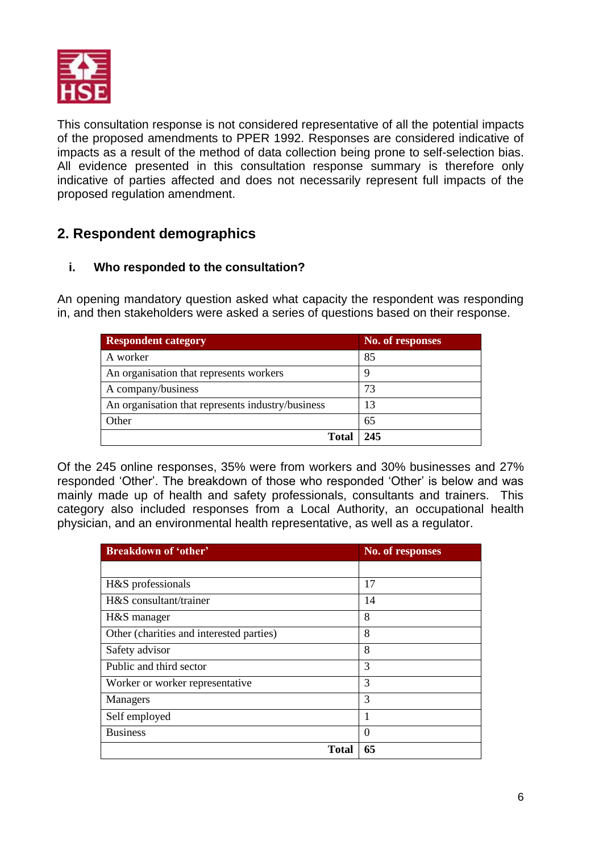

This consultation response is not considered representative of all the potential impacts of the proposed amendments to PPER 1992. Responses are considered indicative of impacts as a result of the method of data collection being prone to self-selection bias. All evidence presented in this consultation response summary is therefore only indicative of parties affected and does not necessarily represent full impacts of the proposed regulation amendment.

# <span id="page-5-0"></span>**2. Respondent demographics**

# <span id="page-5-1"></span>**i. Who responded to the consultation?**

An opening mandatory question asked what capacity the respondent was responding in, and then stakeholders were asked a series of questions based on their response.

| <b>Respondent category</b>                        | No. of responses |
|---------------------------------------------------|------------------|
| A worker                                          | 85               |
| An organisation that represents workers           |                  |
| A company/business                                | 73               |
| An organisation that represents industry/business | 13               |
| Other                                             | 65               |
| <b>Total</b>                                      | 245              |

Of the 245 online responses, 35% were from workers and 30% businesses and 27% responded 'Other'. The breakdown of those who responded 'Other' is below and was mainly made up of health and safety professionals, consultants and trainers. This category also included responses from a Local Authority, an occupational health physician, and an environmental health representative, as well as a regulator.

| <b>Breakdown of 'other'</b>              | No. of responses |
|------------------------------------------|------------------|
|                                          |                  |
| H&S professionals                        | 17               |
| H&S consultant/trainer                   | 14               |
| H&S manager                              | 8                |
| Other (charities and interested parties) | 8                |
| Safety advisor                           | 8                |
| Public and third sector                  | 3                |
| Worker or worker representative          | 3                |
| Managers                                 | 3                |
| Self employed                            | 1                |
| <b>Business</b>                          | $\theta$         |
| <b>Total</b>                             | 65               |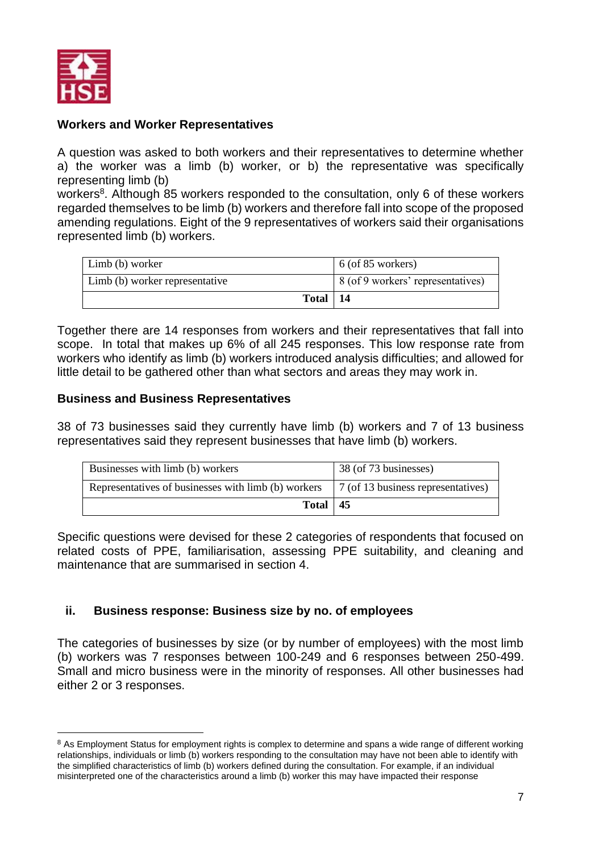

#### **Workers and Worker Representatives**

A question was asked to both workers and their representatives to determine whether a) the worker was a limb (b) worker, or b) the representative was specifically representing limb (b)

workers<sup>8</sup>. Although 85 workers responded to the consultation, only 6 of these workers regarded themselves to be limb (b) workers and therefore fall into scope of the proposed amending regulations. Eight of the 9 representatives of workers said their organisations represented limb (b) workers.

| Limb (b) worker                | $\vert$ 6 (of 85 workers)         |
|--------------------------------|-----------------------------------|
| Limb (b) worker representative | 8 (of 9 workers' representatives) |
| Total   $14$                   |                                   |

Together there are 14 responses from workers and their representatives that fall into scope. In total that makes up 6% of all 245 responses. This low response rate from workers who identify as limb (b) workers introduced analysis difficulties; and allowed for little detail to be gathered other than what sectors and areas they may work in.

#### **Business and Business Representatives**

38 of 73 businesses said they currently have limb (b) workers and 7 of 13 business representatives said they represent businesses that have limb (b) workers.

| Businesses with limb (b) workers                    | 38 (of 73 businesses)              |
|-----------------------------------------------------|------------------------------------|
| Representatives of businesses with limb (b) workers | 7 (of 13 business representatives) |
| Total $ 45$                                         |                                    |

Specific questions were devised for these 2 categories of respondents that focused on related costs of PPE, familiarisation, assessing PPE suitability, and cleaning and maintenance that are summarised in section 4.

# <span id="page-6-0"></span>**ii. Business response: Business size by no. of employees**

The categories of businesses by size (or by number of employees) with the most limb (b) workers was 7 responses between 100-249 and 6 responses between 250-499. Small and micro business were in the minority of responses. All other businesses had either 2 or 3 responses.

<sup>&</sup>lt;sup>8</sup> As Employment Status for employment rights is complex to determine and spans a wide range of different working relationships, individuals or limb (b) workers responding to the consultation may have not been able to identify with the simplified characteristics of limb (b) workers defined during the consultation. For example, if an individual misinterpreted one of the characteristics around a limb (b) worker this may have impacted their response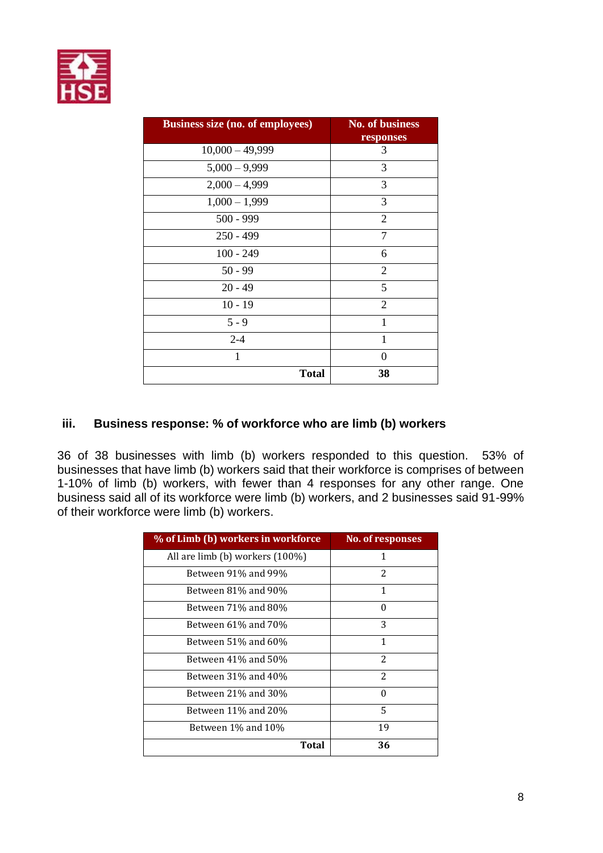

| <b>Business size (no. of employees)</b> | <b>No. of business</b><br>responses |
|-----------------------------------------|-------------------------------------|
| $10,000 - 49,999$                       | 3                                   |
| $5,000 - 9,999$                         | 3                                   |
| $2,000 - 4,999$                         | 3                                   |
| $1,000 - 1,999$                         | 3                                   |
| $500 - 999$                             | $\overline{2}$                      |
| $250 - 499$                             | 7                                   |
| $100 - 249$                             | 6                                   |
| $50 - 99$                               | $\overline{2}$                      |
| $20 - 49$                               | 5                                   |
| $10 - 19$                               | $\overline{2}$                      |
| $5 - 9$                                 | 1                                   |
| $2 - 4$                                 | 1                                   |
| $\mathbf{1}$                            | $\Omega$                            |
| <b>Total</b>                            | 38                                  |

## <span id="page-7-0"></span>**iii. Business response: % of workforce who are limb (b) workers**

36 of 38 businesses with limb (b) workers responded to this question. 53% of businesses that have limb (b) workers said that their workforce is comprises of between 1-10% of limb (b) workers, with fewer than 4 responses for any other range. One business said all of its workforce were limb (b) workers, and 2 businesses said 91-99% of their workforce were limb (b) workers.

| % of Limb (b) workers in workforce | <b>No. of responses</b> |
|------------------------------------|-------------------------|
| All are limb (b) workers $(100\%)$ | 1                       |
| Between 91% and 99%                | 2                       |
| Between 81% and 90%                | 1                       |
| Between 71% and 80%                | $\Omega$                |
| Between 61% and 70%                | 3                       |
| Between 51% and 60%                | 1                       |
| Between 41% and 50%                | 2                       |
| Between 31% and 40%                | 2                       |
| Between 21% and 30%                | 0                       |
| Between 11% and 20%                | 5                       |
| Between 1% and 10%                 | 19                      |
| Total                              | 36                      |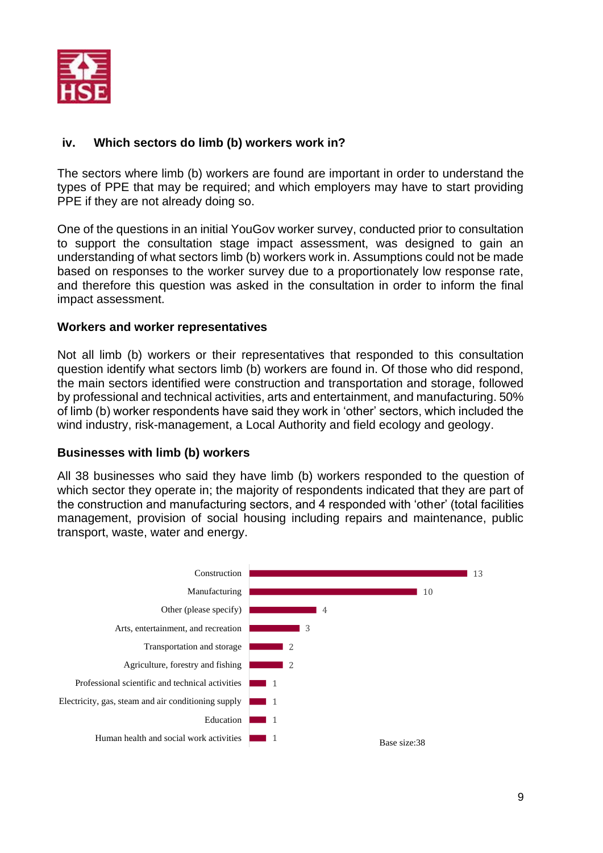

# <span id="page-8-0"></span>**iv. Which sectors do limb (b) workers work in?**

The sectors where limb (b) workers are found are important in order to understand the types of PPE that may be required; and which employers may have to start providing PPE if they are not already doing so.

One of the questions in an initial YouGov worker survey, conducted prior to consultation to support the consultation stage impact assessment, was designed to gain an understanding of what sectors limb (b) workers work in. Assumptions could not be made based on responses to the worker survey due to a proportionately low response rate, and therefore this question was asked in the consultation in order to inform the final impact assessment.

## **Workers and worker representatives**

Not all limb (b) workers or their representatives that responded to this consultation question identify what sectors limb (b) workers are found in. Of those who did respond, the main sectors identified were construction and transportation and storage, followed by professional and technical activities, arts and entertainment, and manufacturing. 50% of limb (b) worker respondents have said they work in 'other' sectors, which included the wind industry, risk-management, a Local Authority and field ecology and geology.

# **Businesses with limb (b) workers**

All 38 businesses who said they have limb (b) workers responded to the question of which sector they operate in; the majority of respondents indicated that they are part of the construction and manufacturing sectors, and 4 responded with 'other' (total facilities management, provision of social housing including repairs and maintenance, public transport, waste, water and energy.

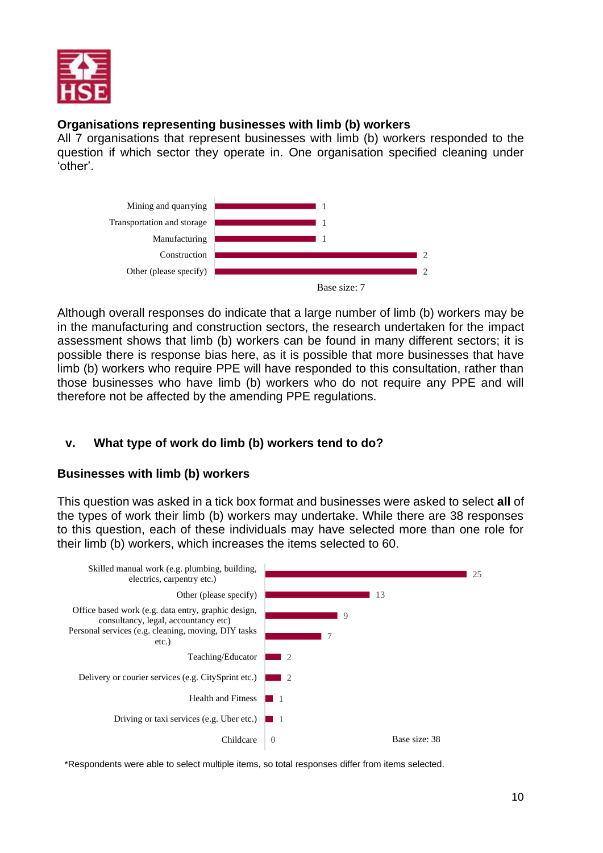

# **Organisations representing businesses with limb (b) workers**

All 7 organisations that represent businesses with limb (b) workers responded to the question if which sector they operate in. One organisation specified cleaning under 'other'.



Although overall responses do indicate that a large number of limb (b) workers may be in the manufacturing and construction sectors, the research undertaken for the impact assessment shows that limb (b) workers can be found in many different sectors; it is possible there is response bias here, as it is possible that more businesses that have limb (b) workers who require PPE will have responded to this consultation, rather than those businesses who have limb (b) workers who do not require any PPE and will therefore not be affected by the amending PPE regulations.

# <span id="page-9-0"></span>**v. What type of work do limb (b) workers tend to do?**

# **Businesses with limb (b) workers**

This question was asked in a tick box format and businesses were asked to select **all** of the types of work their limb (b) workers may undertake. While there are 38 responses to this question, each of these individuals may have selected more than one role for their limb (b) workers, which increases the items selected to 60.



\*Respondents were able to select multiple items, so total responses differ from items selected.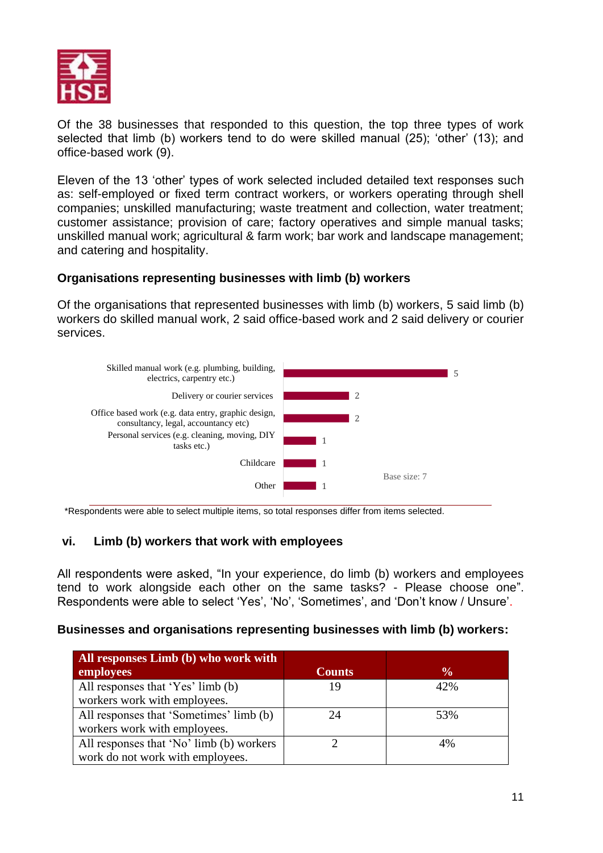

Of the 38 businesses that responded to this question, the top three types of work selected that limb (b) workers tend to do were skilled manual (25); 'other' (13); and office-based work (9).

Eleven of the 13 'other' types of work selected included detailed text responses such as: self-employed or fixed term contract workers, or workers operating through shell companies; unskilled manufacturing; waste treatment and collection, water treatment; customer assistance; provision of care; factory operatives and simple manual tasks; unskilled manual work; agricultural & farm work; bar work and landscape management; and catering and hospitality.

## **Organisations representing businesses with limb (b) workers**

Of the organisations that represented businesses with limb (b) workers, 5 said limb (b) workers do skilled manual work, 2 said office-based work and 2 said delivery or courier services.



<span id="page-10-0"></span>\*Respondents were able to select multiple items, so total responses differ from items selected.

# **vi. Limb (b) workers that work with employees**

All respondents were asked, "In your experience, do limb (b) workers and employees tend to work alongside each other on the same tasks? - Please choose one". Respondents were able to select 'Yes', 'No', 'Sometimes', and 'Don't know / Unsure'.

#### **Businesses and organisations representing businesses with limb (b) workers:**

| All responses Limb (b) who work with     |               |               |
|------------------------------------------|---------------|---------------|
| employees                                | <b>Counts</b> | $\frac{0}{0}$ |
| All responses that 'Yes' limb (b)        | 19            | 42%           |
| workers work with employees.             |               |               |
| All responses that 'Sometimes' limb (b)  | 24            | 53%           |
| workers work with employees.             |               |               |
| All responses that 'No' limb (b) workers |               | 4%            |
| work do not work with employees.         |               |               |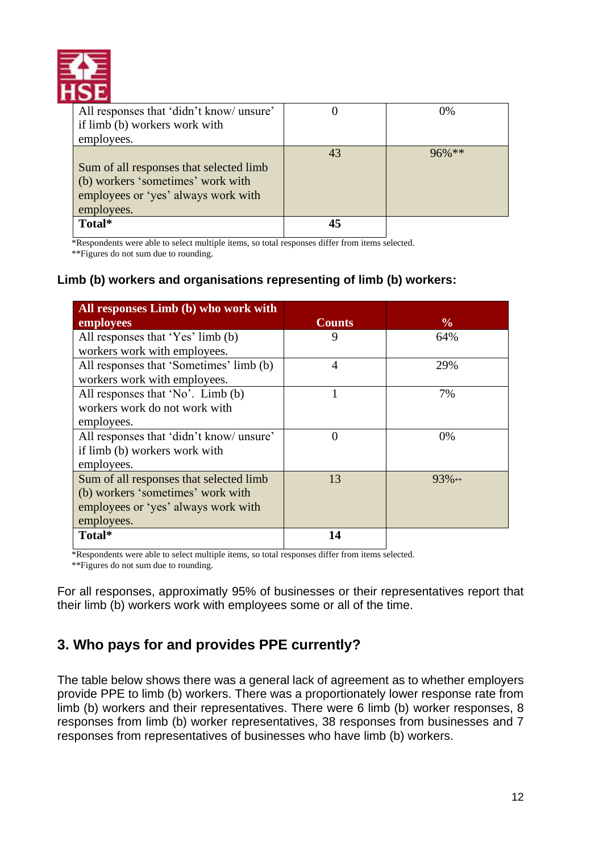

| All responses that 'didn't know/ unsure' |    | $0\%$    |
|------------------------------------------|----|----------|
| if limb (b) workers work with            |    |          |
| employees.                               |    |          |
|                                          | 43 | $96%$ ** |
| Sum of all responses that selected limb  |    |          |
| (b) workers 'sometimes' work with        |    |          |
| employees or 'yes' always work with      |    |          |
| employees.                               |    |          |
| Total*                                   |    |          |

\*Respondents were able to select multiple items, so total responses differ from items selected.

\*\*Figures do not sum due to rounding.

# **Limb (b) workers and organisations representing of limb (b) workers:**

| All responses Limb (b) who work with     |                |               |
|------------------------------------------|----------------|---------------|
| employees                                | <b>Counts</b>  | $\frac{6}{9}$ |
| All responses that 'Yes' limb (b)        | 9              | 64%           |
| workers work with employees.             |                |               |
| All responses that 'Sometimes' limb (b)  | $\overline{4}$ | 29%           |
| workers work with employees.             |                |               |
| All responses that 'No'. Limb (b)        |                | 7%            |
| workers work do not work with            |                |               |
| employees.                               |                |               |
| All responses that 'didn't know/ unsure' | $\Omega$       | $0\%$         |
| if limb (b) workers work with            |                |               |
| employees.                               |                |               |
| Sum of all responses that selected limb  | 13             | $93\%**$      |
| (b) workers 'sometimes' work with        |                |               |
| employees or 'yes' always work with      |                |               |
| employees.                               |                |               |
| Total*                                   | 14             |               |

\*Respondents were able to select multiple items, so total responses differ from items selected.

\*\*Figures do not sum due to rounding.

For all responses, approximatly 95% of businesses or their representatives report that their limb (b) workers work with employees some or all of the time.

# <span id="page-11-0"></span>**3. Who pays for and provides PPE currently?**

The table below shows there was a general lack of agreement as to whether employers provide PPE to limb (b) workers. There was a proportionately lower response rate from limb (b) workers and their representatives. There were 6 limb (b) worker responses, 8 responses from limb (b) worker representatives, 38 responses from businesses and 7 responses from representatives of businesses who have limb (b) workers.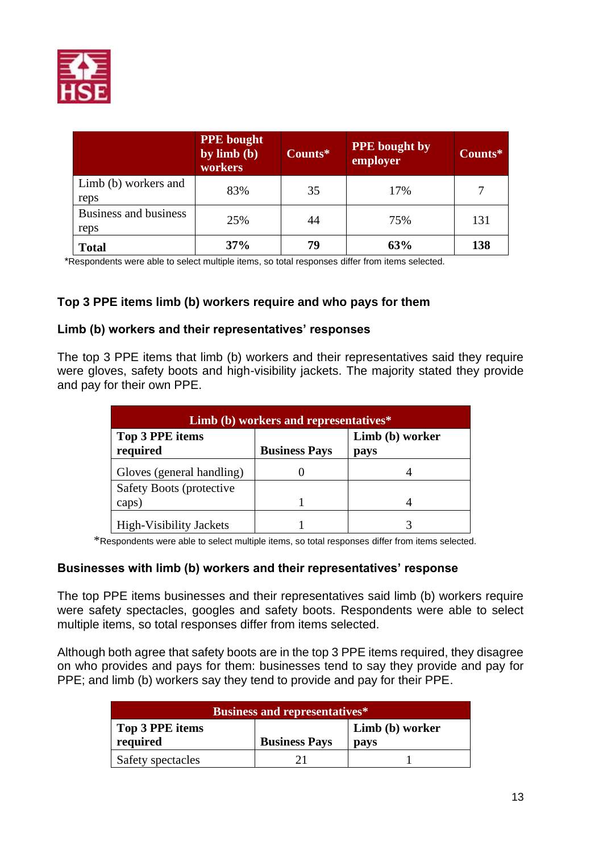

|                               | <b>PPE</b> bought<br>by $limb(b)$<br>workers | Counts* | <b>PPE</b> bought by<br>employer | Counts* |
|-------------------------------|----------------------------------------------|---------|----------------------------------|---------|
| Limb (b) workers and<br>reps  | 83%                                          | 35      | 17%                              | 7       |
| Business and business<br>reps | 25%                                          | 44      | 75%                              | 131     |
| <b>Total</b>                  | 37%                                          | 79      | 63%                              | 138     |

\*Respondents were able to select multiple items, so total responses differ from items selected.

## **Top 3 PPE items limb (b) workers require and who pays for them**

#### **Limb (b) workers and their representatives' responses**

The top 3 PPE items that limb (b) workers and their representatives said they require were gloves, safety boots and high-visibility jackets. The majority stated they provide and pay for their own PPE.

| Limb (b) workers and representatives* |                      |                         |  |
|---------------------------------------|----------------------|-------------------------|--|
| Top 3 PPE items<br>required           | <b>Business Pays</b> | Limb (b) worker<br>pays |  |
| Gloves (general handling)             |                      |                         |  |
| <b>Safety Boots (protective</b>       |                      |                         |  |
| caps)                                 |                      |                         |  |
| <b>High-Visibility Jackets</b>        |                      |                         |  |

\*Respondents were able to select multiple items, so total responses differ from items selected.

#### **Businesses with limb (b) workers and their representatives' response**

The top PPE items businesses and their representatives said limb (b) workers require were safety spectacles, googles and safety boots. Respondents were able to select multiple items, so total responses differ from items selected.

Although both agree that safety boots are in the top 3 PPE items required, they disagree on who provides and pays for them: businesses tend to say they provide and pay for PPE; and limb (b) workers say they tend to provide and pay for their PPE.

| <b>Business and representatives*</b> |                      |                 |  |
|--------------------------------------|----------------------|-----------------|--|
| Top 3 PPE items                      |                      | Limb (b) worker |  |
| required                             | <b>Business Pays</b> | pays            |  |
| Safety spectacles                    |                      |                 |  |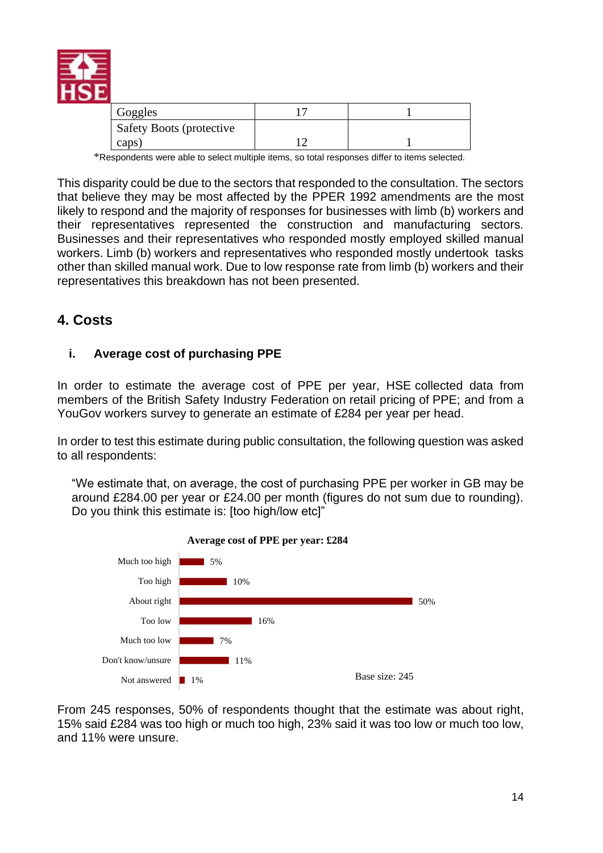

| Goggles                         |  |
|---------------------------------|--|
| <b>Safety Boots (protective</b> |  |
| caps                            |  |

\*Respondents were able to select multiple items, so total responses differ to items selected.

This disparity could be due to the sectors that responded to the consultation. The sectors that believe they may be most affected by the PPER 1992 amendments are the most likely to respond and the majority of responses for businesses with limb (b) workers and their representatives represented the construction and manufacturing sectors. Businesses and their representatives who responded mostly employed skilled manual workers. Limb (b) workers and representatives who responded mostly undertook tasks other than skilled manual work. Due to low response rate from limb (b) workers and their representatives this breakdown has not been presented.

# <span id="page-13-0"></span>**4. Costs**

## <span id="page-13-1"></span>**i. Average cost of purchasing PPE**

In order to estimate the average cost of PPE per year, HSE collected data from members of the British Safety Industry Federation on retail pricing of PPE; and from a YouGov workers survey to generate an estimate of £284 per year per head.

In order to test this estimate during public consultation, the following question was asked to all respondents:

"We estimate that, on average, the cost of purchasing PPE per worker in GB may be around £284.00 per year or £24.00 per month (figures do not sum due to rounding). Do you think this estimate is: [too high/low etc]"



From 245 responses, 50% of respondents thought that the estimate was about right, 15% said £284 was too high or much too high, 23% said it was too low or much too low, and 11% were unsure.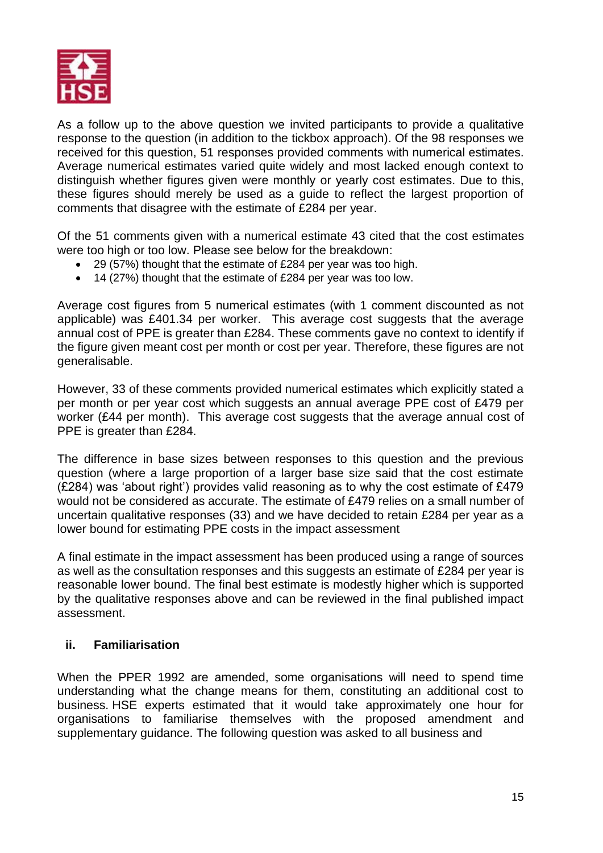

As a follow up to the above question we invited participants to provide a qualitative response to the question (in addition to the tickbox approach). Of the 98 responses we received for this question, 51 responses provided comments with numerical estimates. Average numerical estimates varied quite widely and most lacked enough context to distinguish whether figures given were monthly or yearly cost estimates. Due to this, these figures should merely be used as a guide to reflect the largest proportion of comments that disagree with the estimate of £284 per year.

Of the 51 comments given with a numerical estimate 43 cited that the cost estimates were too high or too low. Please see below for the breakdown:

- 29 (57%) thought that the estimate of £284 per year was too high.
- 14 (27%) thought that the estimate of £284 per year was too low.

Average cost figures from 5 numerical estimates (with 1 comment discounted as not applicable) was £401.34 per worker. This average cost suggests that the average annual cost of PPE is greater than £284. These comments gave no context to identify if the figure given meant cost per month or cost per year. Therefore, these figures are not generalisable.

However, 33 of these comments provided numerical estimates which explicitly stated a per month or per year cost which suggests an annual average PPE cost of £479 per worker (£44 per month). This average cost suggests that the average annual cost of PPE is greater than £284.

The difference in base sizes between responses to this question and the previous question (where a large proportion of a larger base size said that the cost estimate (£284) was 'about right') provides valid reasoning as to why the cost estimate of £479 would not be considered as accurate. The estimate of £479 relies on a small number of uncertain qualitative responses (33) and we have decided to retain £284 per year as a lower bound for estimating PPE costs in the impact assessment

A final estimate in the impact assessment has been produced using a range of sources as well as the consultation responses and this suggests an estimate of £284 per year is reasonable lower bound. The final best estimate is modestly higher which is supported by the qualitative responses above and can be reviewed in the final published impact assessment.

#### <span id="page-14-0"></span>**ii. Familiarisation**

When the PPER 1992 are amended, some organisations will need to spend time understanding what the change means for them, constituting an additional cost to business. HSE experts estimated that it would take approximately one hour for organisations to familiarise themselves with the proposed amendment and supplementary guidance. The following question was asked to all business and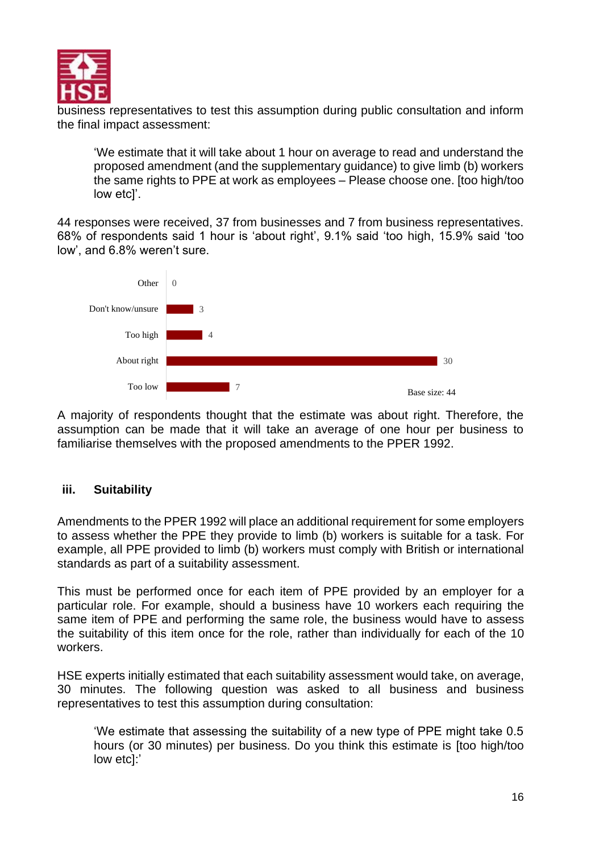

business representatives to test this assumption during public consultation and inform the final impact assessment:

'We estimate that it will take about 1 hour on average to read and understand the proposed amendment (and the supplementary guidance) to give limb (b) workers the same rights to PPE at work as employees – Please choose one. [too high/too low etc]'.

44 responses were received, 37 from businesses and 7 from business representatives. 68% of respondents said 1 hour is 'about right', 9.1% said 'too high, 15.9% said 'too low', and 6.8% weren't sure.



A majority of respondents thought that the estimate was about right. Therefore, the assumption can be made that it will take an average of one hour per business to familiarise themselves with the proposed amendments to the PPER 1992.

# <span id="page-15-0"></span>**iii. Suitability**

Amendments to the PPER 1992 will place an additional requirement for some employers to assess whether the PPE they provide to limb (b) workers is suitable for a task. For example, all PPE provided to limb (b) workers must comply with British or international standards as part of a suitability assessment.

This must be performed once for each item of PPE provided by an employer for a particular role. For example, should a business have 10 workers each requiring the same item of PPE and performing the same role, the business would have to assess the suitability of this item once for the role, rather than individually for each of the 10 workers.

HSE experts initially estimated that each suitability assessment would take, on average, 30 minutes. The following question was asked to all business and business representatives to test this assumption during consultation:

'We estimate that assessing the suitability of a new type of PPE might take 0.5 hours (or 30 minutes) per business. Do you think this estimate is [too high/too low etc]:'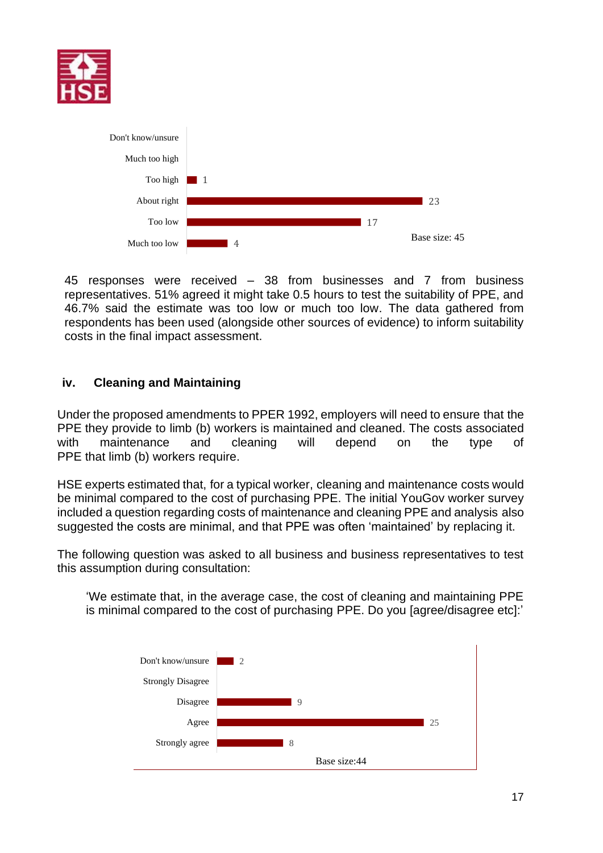



45 responses were received – 38 from businesses and 7 from business representatives. 51% agreed it might take 0.5 hours to test the suitability of PPE, and 46.7% said the estimate was too low or much too low. The data gathered from respondents has been used (alongside other sources of evidence) to inform suitability costs in the final impact assessment.

## <span id="page-16-0"></span>**iv. Cleaning and Maintaining**

Under the proposed amendments to PPER 1992, employers will need to ensure that the PPE they provide to limb (b) workers is maintained and cleaned. The costs associated with maintenance and cleaning will depend on the type of PPE that limb (b) workers require.

HSE experts estimated that, for a typical worker, cleaning and maintenance costs would be minimal compared to the cost of purchasing PPE. The initial YouGov worker survey included a question regarding costs of maintenance and cleaning PPE and analysis also suggested the costs are minimal, and that PPE was often 'maintained' by replacing it.

The following question was asked to all business and business representatives to test this assumption during consultation:

'We estimate that, in the average case, the cost of cleaning and maintaining PPE is minimal compared to the cost of purchasing PPE. Do you [agree/disagree etc]:'

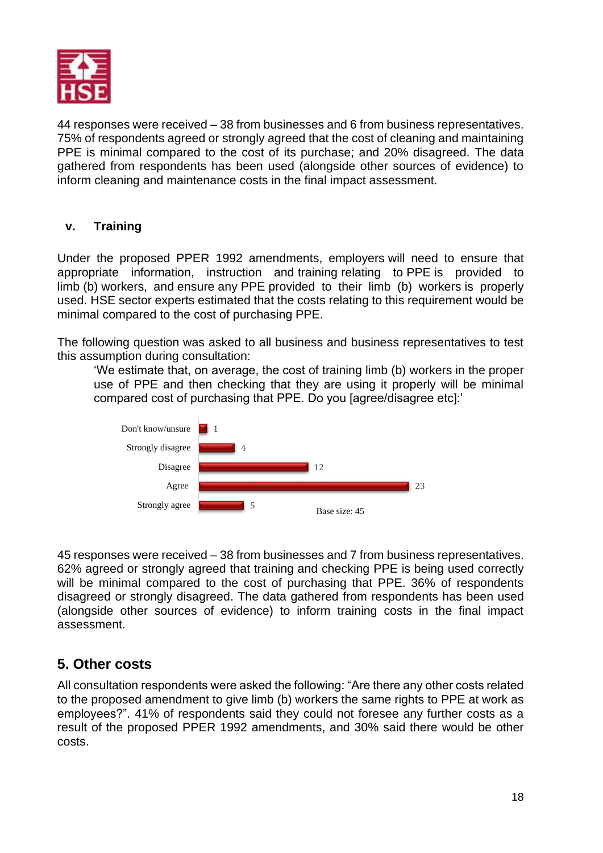

44 responses were received – 38 from businesses and 6 from business representatives. 75% of respondents agreed or strongly agreed that the cost of cleaning and maintaining PPE is minimal compared to the cost of its purchase; and 20% disagreed. The data gathered from respondents has been used (alongside other sources of evidence) to inform cleaning and maintenance costs in the final impact assessment.

# <span id="page-17-0"></span>**v. Training**

Under the proposed PPER 1992 amendments, employers will need to ensure that appropriate information, instruction and training relating to PPE is provided to limb (b) workers, and ensure any PPE provided to their limb (b) workers is properly used. HSE sector experts estimated that the costs relating to this requirement would be minimal compared to the cost of purchasing PPE.

The following question was asked to all business and business representatives to test this assumption during consultation:

'We estimate that, on average, the cost of training limb (b) workers in the proper use of PPE and then checking that they are using it properly will be minimal compared cost of purchasing that PPE. Do you [agree/disagree etc]:'



45 responses were received – 38 from businesses and 7 from business representatives. 62% agreed or strongly agreed that training and checking PPE is being used correctly will be minimal compared to the cost of purchasing that PPE. 36% of respondents disagreed or strongly disagreed. The data gathered from respondents has been used (alongside other sources of evidence) to inform training costs in the final impact assessment.

# <span id="page-17-1"></span>**5. Other costs**

All consultation respondents were asked the following: "Are there any other costs related to the proposed amendment to give limb (b) workers the same rights to PPE at work as employees?". 41% of respondents said they could not foresee any further costs as a result of the proposed PPER 1992 amendments, and 30% said there would be other costs.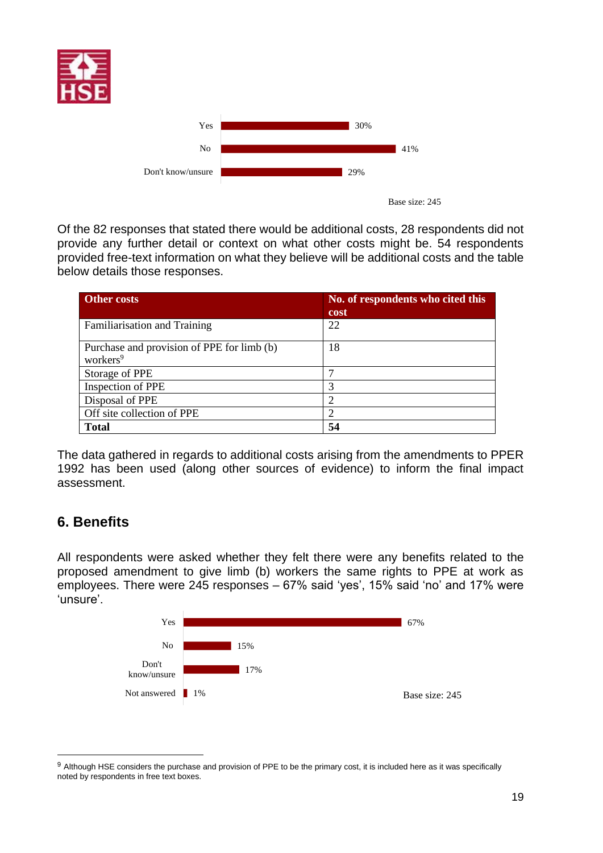





Of the 82 responses that stated there would be additional costs, 28 respondents did not provide any further detail or context on what other costs might be. 54 respondents provided free-text information on what they believe will be additional costs and the table below details those responses.

| <b>Other costs</b>                                                 | No. of respondents who cited this<br>cost |
|--------------------------------------------------------------------|-------------------------------------------|
| Familiarisation and Training                                       | 22                                        |
| Purchase and provision of PPE for limb (b)<br>workers <sup>9</sup> | 18                                        |
| Storage of PPE                                                     |                                           |
| Inspection of PPE                                                  | 3                                         |
| Disposal of PPE                                                    | っ                                         |
| Off site collection of PPE                                         | $\overline{c}$                            |
| <b>Total</b>                                                       | 54                                        |

The data gathered in regards to additional costs arising from the amendments to PPER 1992 has been used (along other sources of evidence) to inform the final impact assessment.

# <span id="page-18-0"></span>**6. Benefits**

All respondents were asked whether they felt there were any benefits related to the proposed amendment to give limb (b) workers the same rights to PPE at work as employees. There were 245 responses – 67% said 'yes', 15% said 'no' and 17% were 'unsure'.



<sup>&</sup>lt;sup>9</sup> Although HSE considers the purchase and provision of PPE to be the primary cost, it is included here as it was specifically noted by respondents in free text boxes.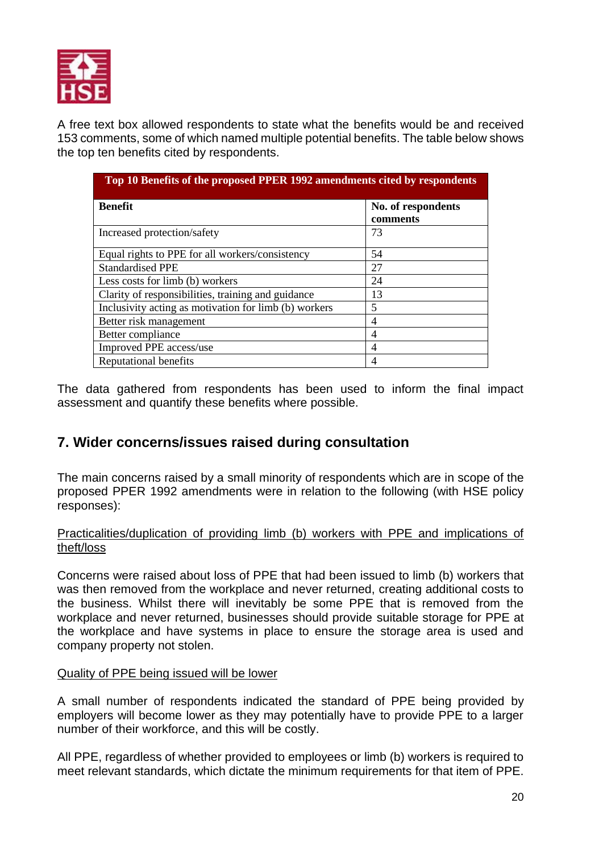

A free text box allowed respondents to state what the benefits would be and received 153 comments, some of which named multiple potential benefits. The table below shows the top ten benefits cited by respondents.

| Top 10 Benefits of the proposed PPER 1992 amendments cited by respondents |                                |  |
|---------------------------------------------------------------------------|--------------------------------|--|
| <b>Benefit</b>                                                            | No. of respondents<br>comments |  |
| Increased protection/safety                                               | 73                             |  |
| Equal rights to PPE for all workers/consistency                           | 54                             |  |
| <b>Standardised PPE</b>                                                   | 27                             |  |
| Less costs for limb (b) workers                                           | 24                             |  |
| Clarity of responsibilities, training and guidance                        | 13                             |  |
| Inclusivity acting as motivation for limb (b) workers                     | 5                              |  |
| Better risk management                                                    | 4                              |  |
| Better compliance                                                         | 4                              |  |
| Improved PPE access/use                                                   | 4                              |  |
| Reputational benefits                                                     | 4                              |  |

The data gathered from respondents has been used to inform the final impact assessment and quantify these benefits where possible.

# <span id="page-19-0"></span>**7. Wider concerns/issues raised during consultation**

The main concerns raised by a small minority of respondents which are in scope of the proposed PPER 1992 amendments were in relation to the following (with HSE policy responses):

#### Practicalities/duplication of providing limb (b) workers with PPE and implications of theft/loss

Concerns were raised about loss of PPE that had been issued to limb (b) workers that was then removed from the workplace and never returned, creating additional costs to the business. Whilst there will inevitably be some PPE that is removed from the workplace and never returned, businesses should provide suitable storage for PPE at the workplace and have systems in place to ensure the storage area is used and company property not stolen.

#### Quality of PPE being issued will be lower

A small number of respondents indicated the standard of PPE being provided by employers will become lower as they may potentially have to provide PPE to a larger number of their workforce, and this will be costly.

All PPE, regardless of whether provided to employees or limb (b) workers is required to meet relevant standards, which dictate the minimum requirements for that item of PPE.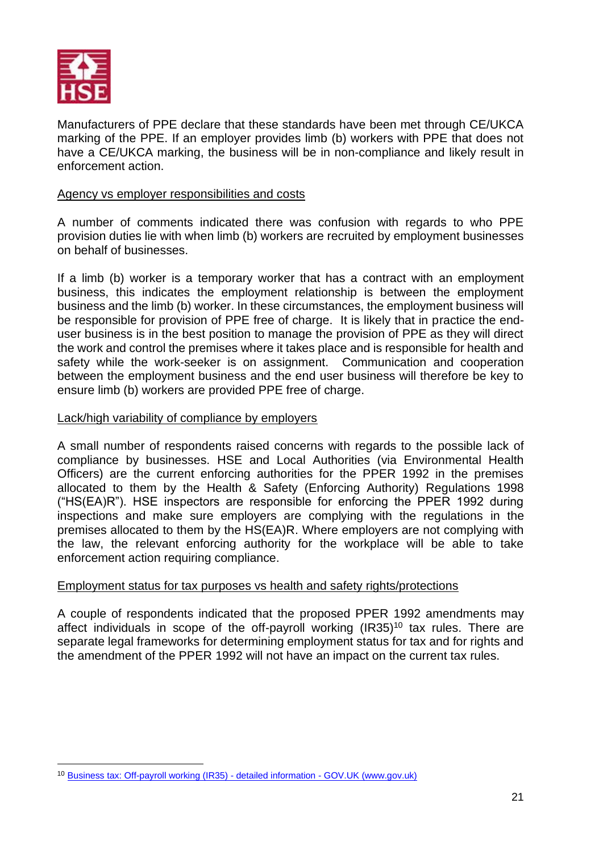

Manufacturers of PPE declare that these standards have been met through CE/UKCA marking of the PPE. If an employer provides limb (b) workers with PPE that does not have a CE/UKCA marking, the business will be in non-compliance and likely result in enforcement action.

#### Agency vs employer responsibilities and costs

A number of comments indicated there was confusion with regards to who PPE provision duties lie with when limb (b) workers are recruited by employment businesses on behalf of businesses.

If a limb (b) worker is a temporary worker that has a contract with an employment business, this indicates the employment relationship is between the employment business and the limb (b) worker. In these circumstances, the employment business will be responsible for provision of PPE free of charge. It is likely that in practice the enduser business is in the best position to manage the provision of PPE as they will direct the work and control the premises where it takes place and is responsible for health and safety while the work-seeker is on assignment. Communication and cooperation between the employment business and the end user business will therefore be key to ensure limb (b) workers are provided PPE free of charge.

#### Lack/high variability of compliance by employers

A small number of respondents raised concerns with regards to the possible lack of compliance by businesses. HSE and Local Authorities (via Environmental Health Officers) are the current enforcing authorities for the PPER 1992 in the premises allocated to them by the Health & Safety (Enforcing Authority) Regulations 1998 ("HS(EA)R"). HSE inspectors are responsible for enforcing the PPER 1992 during inspections and make sure employers are complying with the regulations in the premises allocated to them by the HS(EA)R. Where employers are not complying with the law, the relevant enforcing authority for the workplace will be able to take enforcement action requiring compliance.

#### Employment status for tax purposes vs health and safety rights/protections

A couple of respondents indicated that the proposed PPER 1992 amendments may affect individuals in scope of the off-payroll working (IR35)<sup>10</sup> tax rules. There are separate legal frameworks for determining employment status for tax and for rights and the amendment of the PPER 1992 will not have an impact on the current tax rules.

<sup>10</sup> [Business tax: Off-payroll working \(IR35\) -](https://www.gov.uk/topic/business-tax/ir35) detailed information - GOV.UK (www.gov.uk)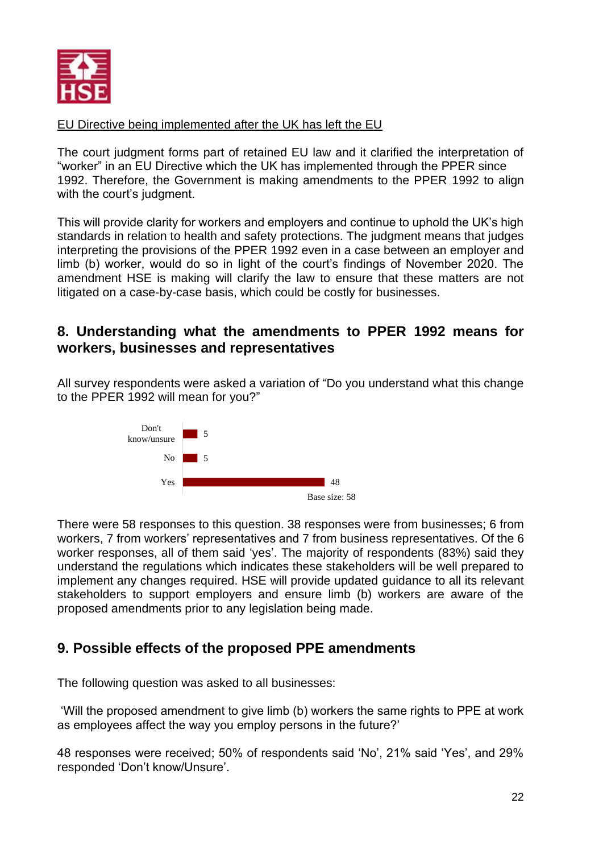

# EU Directive being implemented after the UK has left the EU

The court judgment forms part of retained EU law and it clarified the interpretation of "worker" in an EU Directive which the UK has implemented through the PPER since 1992. Therefore, the Government is making amendments to the PPER 1992 to align with the court's judgment.

This will provide clarity for workers and employers and continue to uphold the UK's high standards in relation to health and safety protections. The judgment means that judges interpreting the provisions of the PPER 1992 even in a case between an employer and limb (b) worker, would do so in light of the court's findings of November 2020. The amendment HSE is making will clarify the law to ensure that these matters are not litigated on a case-by-case basis, which could be costly for businesses.

# <span id="page-21-0"></span>**8. Understanding what the amendments to PPER 1992 means for workers, businesses and representatives**

All survey respondents were asked a variation of "Do you understand what this change to the PPER 1992 will mean for you?"



There were 58 responses to this question. 38 responses were from businesses; 6 from workers, 7 from workers' representatives and 7 from business representatives. Of the 6 worker responses, all of them said 'yes'. The majority of respondents (83%) said they understand the regulations which indicates these stakeholders will be well prepared to implement any changes required. HSE will provide updated guidance to all its relevant stakeholders to support employers and ensure limb (b) workers are aware of the proposed amendments prior to any legislation being made.

# <span id="page-21-1"></span>**9. Possible effects of the proposed PPE amendments**

The following question was asked to all businesses:

'Will the proposed amendment to give limb (b) workers the same rights to PPE at work as employees affect the way you employ persons in the future?'

48 responses were received; 50% of respondents said 'No', 21% said 'Yes', and 29% responded 'Don't know/Unsure'.